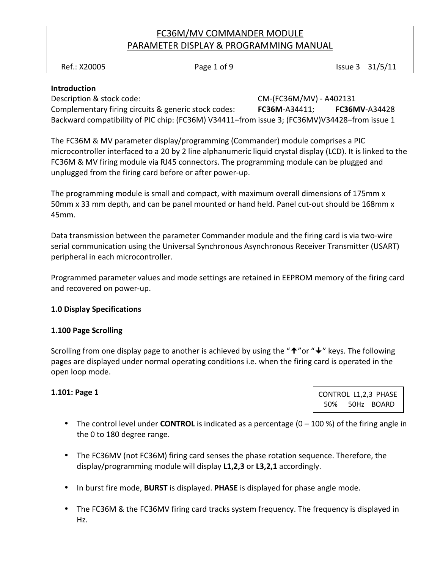Ref.: X20005 **Page 1 of 9** Page 1 of 9 Issue 3 31/5/11

### Introduction

Description & stock code: CM-(FC36M/MV) - A402131 Complementary firing circuits & generic stock codes: FC36M-A34411; FC36MV-A34428 Backward compatibility of PIC chip: (FC36M) V34411–from issue 3; (FC36MV)V34428–from issue 1

The FC36M & MV parameter display/programming (Commander) module comprises a PIC microcontroller interfaced to a 20 by 2 line alphanumeric liquid crystal display (LCD). It is linked to the FC36M & MV firing module via RJ45 connectors. The programming module can be plugged and unplugged from the firing card before or after power-up.

The programming module is small and compact, with maximum overall dimensions of 175mm x 50mm x 33 mm depth, and can be panel mounted or hand held. Panel cut-out should be 168mm x 45mm.

Data transmission between the parameter Commander module and the firing card is via two-wire serial communication using the Universal Synchronous Asynchronous Receiver Transmitter (USART) peripheral in each microcontroller.

Programmed parameter values and mode settings are retained in EEPROM memory of the firing card and recovered on power-up.

#### 1.0 Display Specifications

#### 1.100 Page Scrolling

Scrolling from one display page to another is achieved by using the " $\uparrow$ " or " $\downarrow$ " keys. The following pages are displayed under normal operating conditions i.e. when the firing card is operated in the open loop mode.

#### 1.101: Page 1

CONTROL L1,2,3 PHASE 50% 50Hz BOARD

- The control level under **CONTROL** is indicated as a percentage  $(0 100 \%)$  of the firing angle in the 0 to 180 degree range.
- The FC36MV (not FC36M) firing card senses the phase rotation sequence. Therefore, the display/programming module will display L1,2,3 or L3,2,1 accordingly.
- In burst fire mode, **BURST** is displayed. **PHASE** is displayed for phase angle mode.
- The FC36M & the FC36MV firing card tracks system frequency. The frequency is displayed in Hz.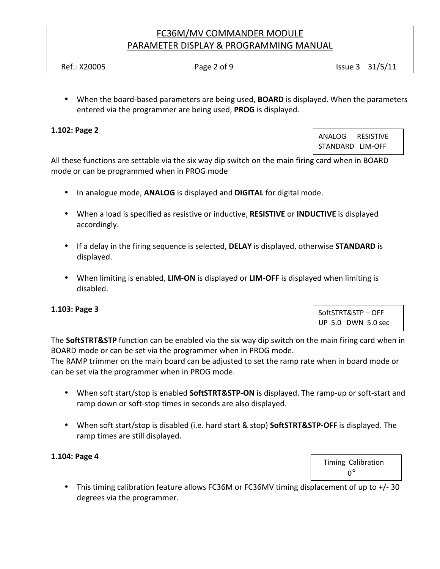Ref.: X20005 **Page 2 of 9** Page 2 of 9 **Issue 3** 31/5/11

• When the board-based parameters are being used, **BOARD** is displayed. When the parameters entered via the programmer are being used, PROG is displayed.

### 1.102: Page 2

ANALOG RESISTIVE STANDARD LIM-OFF

All these functions are settable via the six way dip switch on the main firing card when in BOARD mode or can be programmed when in PROG mode

- In analogue mode, **ANALOG** is displayed and **DIGITAL** for digital mode.
- When a load is specified as resistive or inductive, RESISTIVE or INDUCTIVE is displayed accordingly.
- If a delay in the firing sequence is selected, **DELAY** is displayed, otherwise **STANDARD** is displayed.
- When limiting is enabled, LIM-ON is displayed or LIM-OFF is displayed when limiting is disabled.

#### 1.103: Page 3

SoftSTRT&STP – OFF UP 5.0 DWN 5.0 sec

Timing Calibration

The SoftSTRT&STP function can be enabled via the six way dip switch on the main firing card when in BOARD mode or can be set via the programmer when in PROG mode.

The RAMP trimmer on the main board can be adjusted to set the ramp rate when in board mode or can be set via the programmer when in PROG mode.

- When soft start/stop is enabled SoftSTRT&STP-ON is displayed. The ramp-up or soft-start and ramp down or soft-stop times in seconds are also displayed.
- When soft start/stop is disabled (i.e. hard start & stop) SoftSTRT&STP-OFF is displayed. The ramp times are still displayed.

#### 1.104: Page 4

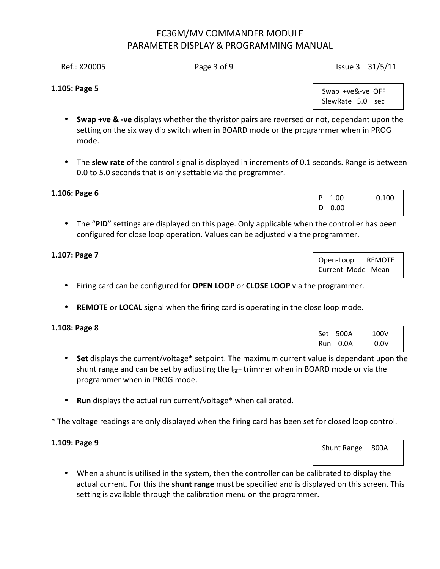Ref.: X20005 **Page 3 of 9** Page 3 of 9

#### 1.105: Page 5

 Swap +ve&-ve OFF SlewRate 5.0 sec

- **Swap +ve & -ve** displays whether the thyristor pairs are reversed or not, dependant upon the setting on the six way dip switch when in BOARD mode or the programmer when in PROG mode.
- The slew rate of the control signal is displayed in increments of 0.1 seconds. Range is between 0.0 to 5.0 seconds that is only settable via the programmer.

#### 1.106: Page 6

• The "PID" settings are displayed on this page. Only applicable when the controller has been configured for close loop operation. Values can be adjusted via the programmer.

### 1.107: Page 7

- Firing card can be configured for OPEN LOOP or CLOSE LOOP via the programmer.
- REMOTE or LOCAL signal when the firing card is operating in the close loop mode.

#### 1.108: Page 8

- Set displays the current/voltage\* setpoint. The maximum current value is dependant upon the shunt range and can be set by adjusting the  $I_{\text{SET}}$  trimmer when in BOARD mode or via the programmer when in PROG mode.
- Run displays the actual run current/voltage\* when calibrated.
- \* The voltage readings are only displayed when the firing card has been set for closed loop control.

#### 1.109: Page 9

• When a shunt is utilised in the system, then the controller can be calibrated to display the actual current. For this the shunt range must be specified and is displayed on this screen. This setting is available through the calibration menu on the programmer.

| D 0.00                  |
|-------------------------|
| tha controllar hac haan |

P 1.00 | 0.100

| Open-Loop         |  | <b>REMOTE</b> |
|-------------------|--|---------------|
| Current Mode Mean |  |               |

| Set 500A | 100V |
|----------|------|
| Run 0.0A | 0.0V |

Shunt Range 800A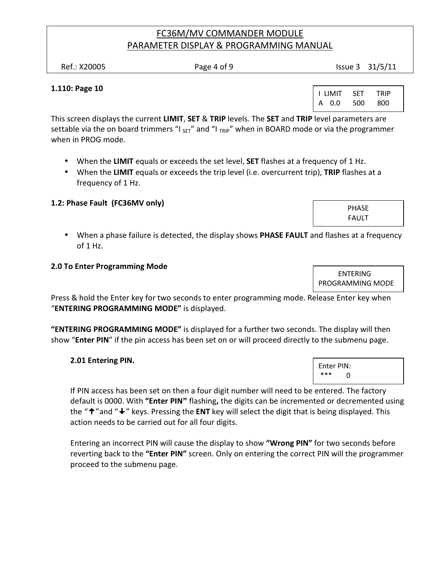| Ref.: X20005 | Page 4 of 9 | Issue 3 31/5/11 |
|--------------|-------------|-----------------|
|              |             |                 |

#### 1.110: Page 10

I LIMIT SET TRIP A 0.0 500 800

This screen displays the current LIMIT, SET & TRIP levels. The SET and TRIP level parameters are settable via the on board trimmers "I  $_{\text{SET}}$ " and "I  $_{\text{TRIP}}$ " when in BOARD mode or via the programmer when in PROG mode.

- When the LIMIT equals or exceeds the set level, **SET** flashes at a frequency of 1 Hz.
- When the LIMIT equals or exceeds the trip level (i.e. overcurrent trip), TRIP flashes at a frequency of 1 Hz.

### 1.2: Phase Fault (FC36MV only)

• When a phase failure is detected, the display shows **PHASE FAULT** and flashes at a frequency of 1 Hz.

#### 2.0 To Enter Programming Mode

Press & hold the Enter key for two seconds to enter programming mode. Release Enter key when "ENTERING PROGRAMMING MODE" is displayed.

"ENTERING PROGRAMMING MODE" is displayed for a further two seconds. The display will then show "Enter PIN" if the pin access has been set on or will proceed directly to the submenu page.

#### 2.01 Entering PIN.

If PIN access has been set on then a four digit number will need to be entered. The factory default is 0000. With "Enter PIN**"** flashing**,** the digits can be incremented or decremented using the " $\uparrow$ " and " $\downarrow$ " keys. Pressing the ENT key will select the digit that is being displayed. This action needs to be carried out for all four digits.

Entering an incorrect PIN will cause the display to show "Wrong PIN" for two seconds before reverting back to the "Enter PIN" screen. Only on entering the correct PIN will the programmer proceed to the submenu page.

PHASE FAULT

 ENTERING PROGRAMMING MODE

Enter PIN: \*\*\* 0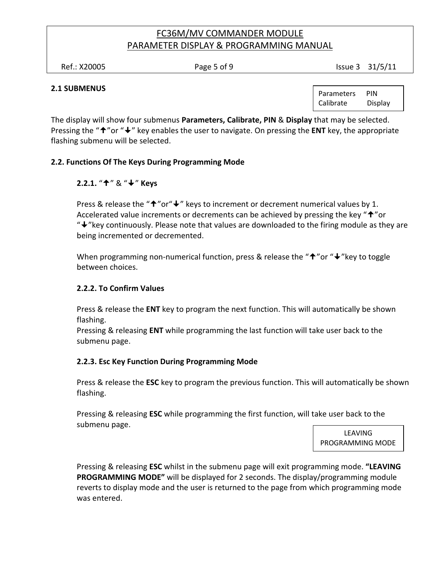Ref.: X20005 **Page 5 of 9** Page 5 of 9

#### 2.1 SUBMENUS

Parameters PIN Calibrate Display

The display will show four submenus Parameters, Calibrate, PIN & Display that may be selected. Pressing the " $\uparrow$ " or " $\downarrow$ " key enables the user to navigate. On pressing the ENT key, the appropriate flashing submenu will be selected.

### 2.2. Functions Of The Keys During Programming Mode

### 2.2.1. "↑" & "↓" Keys

Press & release the " $\uparrow$ " or" $\downarrow$ " keys to increment or decrement numerical values by 1. Accelerated value increments or decrements can be achieved by pressing the key " $\hat{\tau}$ " or "↓"key continuously. Please note that values are downloaded to the firing module as they are being incremented or decremented.

When programming non-numerical function, press & release the " $\uparrow$ " or " $\downarrow$ " key to toggle between choices.

#### 2.2.2. To Confirm Values

Press & release the **ENT** key to program the next function. This will automatically be shown flashing.

Pressing & releasing ENT while programming the last function will take user back to the submenu page.

#### 2.2.3. Esc Key Function During Programming Mode

Press & release the **ESC** key to program the previous function. This will automatically be shown flashing.

Pressing & releasing ESC while programming the first function, will take user back to the submenu page.

LEAVING PROGRAMMING MODE

Pressing & releasing ESC whilst in the submenu page will exit programming mode. "LEAVING PROGRAMMING MODE" will be displayed for 2 seconds. The display/programming module reverts to display mode and the user is returned to the page from which programming mode was entered.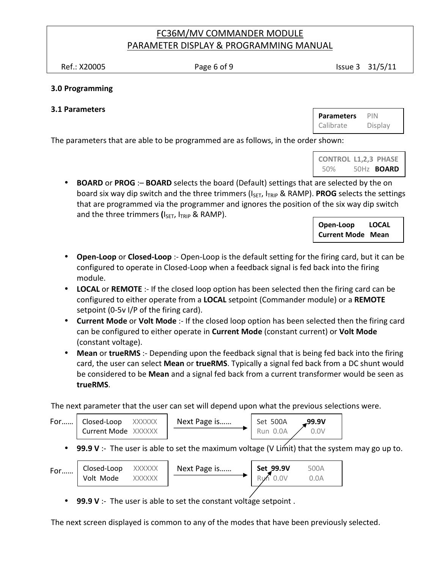Ref.: X20005 **Page 6 of 9** Page 6 of 9 **Issue 3** 31/5/11

#### 3.0 Programming

### 3.1 Parameters

Parameters PIN Calibrate Display

The parameters that are able to be programmed are as follows, in the order shown:

| <b>CONTROL L1,2,3 PHASE</b> |                   |
|-----------------------------|-------------------|
| 50%                         | 50Hz <b>BOARD</b> |

• BOARD or PROG : - BOARD selects the board (Default) settings that are selected by the on board six way dip switch and the three trimmers (I<sub>SET</sub>, I<sub>TRIP</sub> & RAMP). **PROG** selects the settings that are programmed via the programmer and ignores the position of the six way dip switch and the three trimmers  $(I_{\text{SET}})$ ,  $I_{\text{TRIP}}$  & RAMP).

> Open-Loop LOCAL Current Mode Mean

- Open-Loop or Closed-Loop :- Open-Loop is the default setting for the firing card, but it can be configured to operate in Closed-Loop when a feedback signal is fed back into the firing module.
- LOCAL or REMOTE :- If the closed loop option has been selected then the firing card can be configured to either operate from a LOCAL setpoint (Commander module) or a REMOTE setpoint (0-5v I/P of the firing card).
- Current Mode or Volt Mode :- If the closed loop option has been selected then the firing card can be configured to either operate in Current Mode (constant current) or Volt Mode (constant voltage).
- Mean or trueRMS :- Depending upon the feedback signal that is being fed back into the firing card, the user can select Mean or trueRMS. Typically a signal fed back from a DC shunt would be considered to be Mean and a signal fed back from a current transformer would be seen as trueRMS.

The next parameter that the user can set will depend upon what the previous selections were.

| For $\vert$ | Closed-Loop<br>XXXXXX<br>Current Mode XXXXXX                                                 | Next Page is | Set 500A<br>ـ99.9V<br>Run 0.0A<br>0.0V |  |
|-------------|----------------------------------------------------------------------------------------------|--------------|----------------------------------------|--|
|             | 99.9 V :- The user is able to set the maximum voltage (V Limt) that the system may go up to. |              |                                        |  |
| For         | Closed-Loop<br>XXXXXX<br>Volt Mode<br>XXXXXX                                                 | Next Page is | Set 99.9V<br>500A<br>Run 0.0V<br>0.0A  |  |

99.9 V :- The user is able to set the constant voltage setpoint.

The next screen displayed is common to any of the modes that have been previously selected.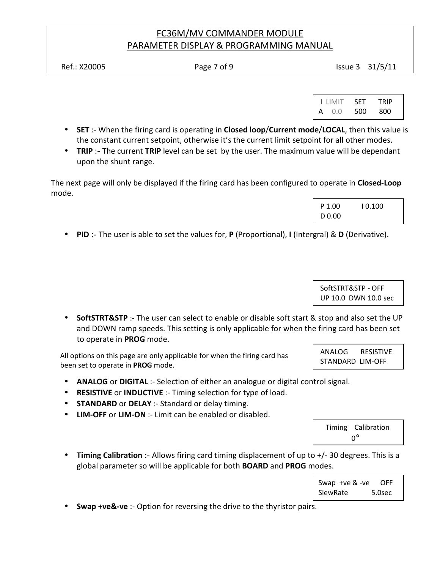Ref.: X20005 **Page 7 of 9** Page 7 of 9

| <b>LIMIT</b>  | - SET | <b>TRIP</b> |  |
|---------------|-------|-------------|--|
| $\bullet$ 0.0 | 500   | 800         |  |

- SET :- When the firing card is operating in Closed loop/Current mode/LOCAL, then this value is the constant current setpoint, otherwise it's the current limit setpoint for all other modes.
- TRIP :- The current TRIP level can be set by the user. The maximum value will be dependant upon the shunt range.

The next page will only be displayed if the firing card has been configured to operate in **Closed-Loop** mode.

| P 1.00 | 10.100 |  |
|--------|--------|--|
| D 0.00 |        |  |

• PID :- The user is able to set the values for, P (Proportional), I (Intergral) & D (Derivative).

 SoftSTRT&STP - OFF UP 10.0 DWN 10.0 sec

• SoftSTRT&STP :- The user can select to enable or disable soft start & stop and also set the UP and DOWN ramp speeds. This setting is only applicable for when the firing card has been set to operate in PROG mode.

All options on this page are only applicable for when the firing card has been set to operate in PROG mode.

- ANALOG or DIGITAL :- Selection of either an analogue or digital control signal.
- RESISTIVE or INDUCTIVE :- Timing selection for type of load.
- STANDARD or DELAY :- Standard or delay timing.
- LIM-OFF or LIM-ON :- Limit can be enabled or disabled.

 Timing Calibration  $0^\circ$ 

• Timing Calibration :- Allows firing card timing displacement of up to +/- 30 degrees. This is a global parameter so will be applicable for both **BOARD** and **PROG** modes.

| Swap $+ve$ & $-ve$ | OFF    |
|--------------------|--------|
| SlewRate           | 5.0sec |

• Swap +ve&-ve :- Option for reversing the drive to the thyristor pairs.

 ANALOG RESISTIVE STANDARD LIM-OFF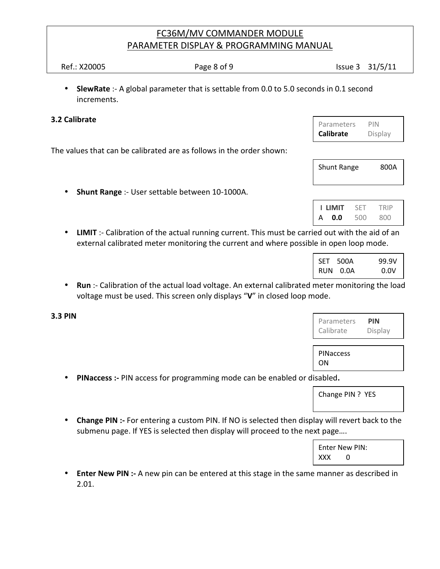**SlewRate** :- A global parameter that is settable from 0.0 to 5.0 seconds in 0.1 second increments.

#### 3.2 Calibrate

The values that can be calibrated are as follows in the order shown:

• Shunt Range :- User settable between 10-1000A.

Shunt Range 800A

|   | <b>I LIMIT</b> | SFT | TRIP |  |
|---|----------------|-----|------|--|
| A | 0.0            | 500 | 800  |  |

• LIMIT :- Calibration of the actual running current. This must be carried out with the aid of an external calibrated meter monitoring the current and where possib

| SET 500A | 99.9V |
|----------|-------|
| RUN 0.0A | 0.0V  |

- Run :- Calibration of the actual load voltage. An external calibrated meter monitoring the load voltage must be used. This screen only displays "V" in closed loop mode.
- 3.3 PIN

| Parameters | PIN     |
|------------|---------|
| Calibrate  | Display |

PINaccess ON

• PINaccess :- PIN access for programming mode can be enabled or disabled.

Change PIN ? YES

• Change PIN :- For entering a custom PIN. If NO is selected then display will revert back to the submenu page. If YES is selected then display will proceed to the next page….

> Enter New PIN: XXX 0

• Enter New PIN :- A new pin can be entered at this stage in the same manner as described in 2.01.

| Parameters       | PIN     |
|------------------|---------|
| <b>Calibrate</b> | Display |

| icu out with the aid of an   |               |  |
|------------------------------|---------------|--|
| le in open loop mode.        |               |  |
| $\mathbf{I}$<br>$CFT = 500A$ | $\sim$ $\sim$ |  |